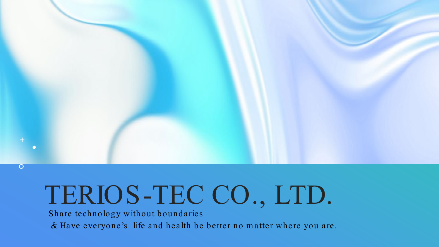

## TERIOS-TEC CO., LTD.

Share technology without boundaries

& Have everyone's life and health be better no m atter where you are.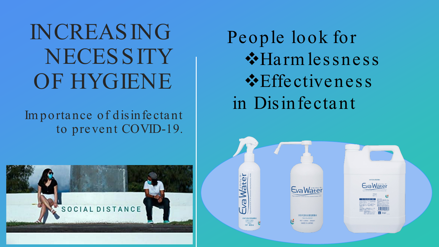INCREASING **NECESSITY** OF HYGIENE

Im portance of disinfectant to prevent COVID-19.



People look for \*Harm lessness **Effectiveness** in Disinfectant

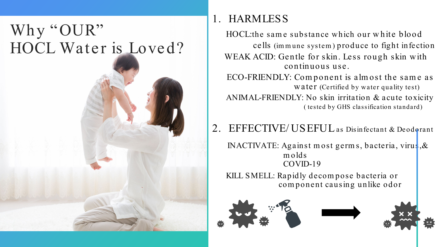### Why "OUR" HOCL Water is Loved?



HOCL:the same substance which our white blood cells (im m une system ) produce to fight infection WEAK ACID: Gentle for skin. Less rough skin with continuous use.

ECO-FRIENDLY: Component is almost the same as water (Certified by water quality test) ANIMAL-FRIENDLY: No skin irritation & acute toxicity ( tested by GHS classification standard)

### 2. EFFECTIVE/ USEFULas Disinfectant & Deodorant

INACTIVATE: Against m ost germ s, bacteria, virus,& m olds COVID-19

KILL SMELL: Rapidly decom pose bacteria or com ponent causing unlike odor





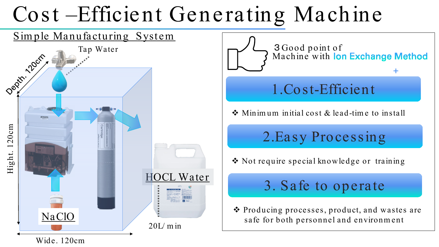## Cost-Efficient Generating Machine

#### Simple Manufacturing System